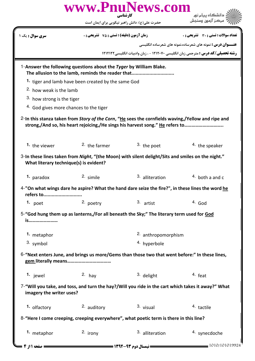| www.PnuNews.com<br>کار شناسی                                                                                                                                                         |                                                                                                                         |                                                                                           |                                                                                          |  |  |  |
|--------------------------------------------------------------------------------------------------------------------------------------------------------------------------------------|-------------------------------------------------------------------------------------------------------------------------|-------------------------------------------------------------------------------------------|------------------------------------------------------------------------------------------|--|--|--|
|                                                                                                                                                                                      |                                                                                                                         | حضرت علی(ع): دانش راهبر نیکویی برای ایمان است                                             |                                                                                          |  |  |  |
| <b>سری سوال :</b> یک ۱                                                                                                                                                               | <b>زمان آزمون (دقیقه) : تستی : 75 تشریحی : 0</b>                                                                        |                                                                                           | تعداد سوالات : تستي : 30 ٪ تشريحي : 0                                                    |  |  |  |
|                                                                                                                                                                                      |                                                                                                                         |                                                                                           | <b>عنـــوان درس :</b> نمونه های شعرساده،نمونه های شعرساده انگلیسی                        |  |  |  |
|                                                                                                                                                                                      |                                                                                                                         |                                                                                           | <b>رشته تحصیلی/کد درس :</b> مترجمی زبان انگلیسی ۱۲۱۲۰۷۰ - ، زبان وادبیات انگلیسی ۱۲۱۲۱۲۲ |  |  |  |
|                                                                                                                                                                                      | 1-Answer the following questions about the Tyger by William Blake.<br>The allusion to the lamb, reminds the reader that |                                                                                           |                                                                                          |  |  |  |
|                                                                                                                                                                                      | 1. tiger and lamb have been created by the same God                                                                     |                                                                                           |                                                                                          |  |  |  |
| <sup>2</sup> how weak is the lamb                                                                                                                                                    |                                                                                                                         |                                                                                           |                                                                                          |  |  |  |
| 3. how strong is the tiger                                                                                                                                                           |                                                                                                                         |                                                                                           |                                                                                          |  |  |  |
| <sup>4.</sup> God gives more chances to the tiger                                                                                                                                    |                                                                                                                         |                                                                                           |                                                                                          |  |  |  |
| 2-In this stanza taken from Story of the Corn, "He sees the cornfields waving, /Yellow and ripe and<br>strong,/And so, his heart rejoicing,/He sings his harvest song." He refers to |                                                                                                                         |                                                                                           |                                                                                          |  |  |  |
| 1. the viewer                                                                                                                                                                        | $2.$ the farmer                                                                                                         | 3. the poet                                                                               | <sup>4</sup> the speaker                                                                 |  |  |  |
| $3$ -In these lines taken from Night, "(the Moon) with silent delight/Sits and smiles on the night."<br>What literary technique(s) is evident?                                       |                                                                                                                         |                                                                                           |                                                                                          |  |  |  |
| 1. paradox                                                                                                                                                                           | 2. simile                                                                                                               | 3. alliteration                                                                           | $4.$ both a and c                                                                        |  |  |  |
|                                                                                                                                                                                      | 4-"On what wings dare he aspire? What the hand dare seize the fire?", in these lines the word he<br>refers to           |                                                                                           |                                                                                          |  |  |  |
| 1. $poet$                                                                                                                                                                            | 2. poetry                                                                                                               | 3. artist                                                                                 | $4.$ God                                                                                 |  |  |  |
| is                                                                                                                                                                                   |                                                                                                                         | 5-"God hung them up as lanterns,/For all beneath the Sky;" The literary term used for God |                                                                                          |  |  |  |
| 1. metaphor                                                                                                                                                                          |                                                                                                                         | 2. anthropomorphism                                                                       |                                                                                          |  |  |  |
| 3. symbol                                                                                                                                                                            |                                                                                                                         | <sup>4.</sup> hyperbole                                                                   |                                                                                          |  |  |  |
| 6-"Next enters June, and brings us more/Gems than those two that went before:" In these lines,                                                                                       |                                                                                                                         |                                                                                           |                                                                                          |  |  |  |
| 1. jewel                                                                                                                                                                             | $2.$ hay                                                                                                                | 3. delight                                                                                | 4. feat                                                                                  |  |  |  |
| 7-"Will you take, and toss, and turn the hay?/Will you ride in the cart which takes it away?" What<br>imagery the writer uses?                                                       |                                                                                                                         |                                                                                           |                                                                                          |  |  |  |
| 1. olfactory                                                                                                                                                                         | 2. auditory                                                                                                             | 3. visual                                                                                 | <sup>4</sup> tactile                                                                     |  |  |  |
|                                                                                                                                                                                      |                                                                                                                         | 8-"Here I come creeping, creeping everywhere", what poetic term is there in this line?    |                                                                                          |  |  |  |
| 1. metaphor                                                                                                                                                                          | $2.$ irony                                                                                                              | 3. alliteration                                                                           | 4. synecdoche                                                                            |  |  |  |
| <b>: صفحه 11; 4 =</b>                                                                                                                                                                |                                                                                                                         | = نیمسال دوم ۹۳-۱۳۹۲ ========                                                             | $= 1010/101019924$                                                                       |  |  |  |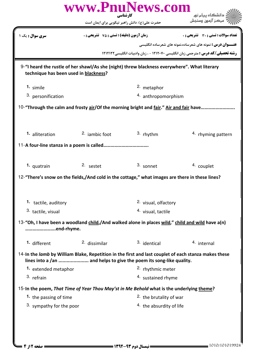|                                                                                                                | www.PnuNews.com<br>کار شناسی                                                                 |                                     |                                                                                                      |  |  |  |
|----------------------------------------------------------------------------------------------------------------|----------------------------------------------------------------------------------------------|-------------------------------------|------------------------------------------------------------------------------------------------------|--|--|--|
|                                                                                                                | حضرت علی(ع): دانش راهبر نیکویی برای ایمان است                                                |                                     |                                                                                                      |  |  |  |
| <mark>سری سوال :</mark> یک ۱                                                                                   | <b>زمان آزمون (دقیقه) : تستی : 75 ٪ تشریحی : 0</b>                                           |                                     | <b>تعداد سوالات : تستي : 30 ٪ تشريحي : 0</b>                                                         |  |  |  |
|                                                                                                                |                                                                                              |                                     | <b>عنـــوان درس :</b> نمونه های شعرساده،نمونه های شعرساده انگلیسی                                    |  |  |  |
|                                                                                                                |                                                                                              |                                     | <b>رشته تحصیلی/کد درس :</b> مترجمی زبان انگلیسی ۱۲۱۲۰۷۰ - ، زبان وادبیات انگلیسی ۱۲۱۲۱۲۲             |  |  |  |
| technique has been used in blackness?                                                                          | 9-"I heard the rustle of her shawl/As she (night) threw blackness everywhere". What literary |                                     |                                                                                                      |  |  |  |
| 1. simile                                                                                                      |                                                                                              | 2. metaphor                         |                                                                                                      |  |  |  |
| 3. personification                                                                                             |                                                                                              | 4. anthropomorphism                 |                                                                                                      |  |  |  |
| 10-"Through the calm and frosty air/Of the morning bright and fair." Air and fair have                         |                                                                                              |                                     |                                                                                                      |  |  |  |
|                                                                                                                |                                                                                              |                                     |                                                                                                      |  |  |  |
| 1. alliteration                                                                                                | $2.$ jambic foot                                                                             | 3. rhythm                           | <sup>4.</sup> rhyming pattern                                                                        |  |  |  |
|                                                                                                                |                                                                                              |                                     |                                                                                                      |  |  |  |
| 1. quatrain                                                                                                    | 2. sestet                                                                                    | 3. sonnet                           | <sup>4.</sup> couplet                                                                                |  |  |  |
| 12-"There's snow on the fields,/And cold in the cottage," what images are there in these lines?                |                                                                                              |                                     |                                                                                                      |  |  |  |
| 1. tactile, auditory                                                                                           |                                                                                              | <sup>2.</sup> visual, olfactory     |                                                                                                      |  |  |  |
| 3. tactile, visual                                                                                             |                                                                                              | <sup>4.</sup> visual, tactile       |                                                                                                      |  |  |  |
| 13-"Oh, I have been a woodland child,/And walked alone in places wild," child and wild have a(n)<br>end-rhyme. |                                                                                              |                                     |                                                                                                      |  |  |  |
| 1. different                                                                                                   | 2. dissimilar                                                                                | 3. identical                        | 4. internal                                                                                          |  |  |  |
|                                                                                                                | lines into a /an  and helps to give the poem its song-like quality.                          |                                     | 14-In the lamb by William Blake, Repetition in the first and last couplet of each stanza makes these |  |  |  |
| 1. extended metaphor                                                                                           |                                                                                              | <sup>2.</sup> rhythmic meter        |                                                                                                      |  |  |  |
| 3. refrain                                                                                                     |                                                                                              | <sup>4.</sup> sustained rhyme       |                                                                                                      |  |  |  |
| 15-In the poem, That Time of Year Thou May'st in Me Behold what is the underlying theme?                       |                                                                                              |                                     |                                                                                                      |  |  |  |
| 1. the passing of time                                                                                         |                                                                                              | <sup>2.</sup> the brutality of war  |                                                                                                      |  |  |  |
| 3. sympathy for the poor                                                                                       |                                                                                              | <sup>4.</sup> the absurdity of life |                                                                                                      |  |  |  |
|                                                                                                                |                                                                                              |                                     |                                                                                                      |  |  |  |
|                                                                                                                |                                                                                              |                                     |                                                                                                      |  |  |  |
|                                                                                                                |                                                                                              |                                     |                                                                                                      |  |  |  |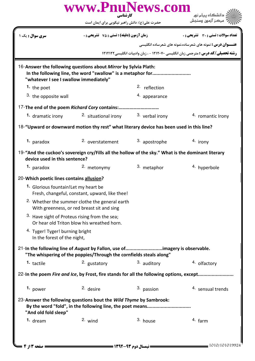|                                                                           | www.PnuNews.com<br>كارشناسي                                                                                                                       |                          |                                                                                          |
|---------------------------------------------------------------------------|---------------------------------------------------------------------------------------------------------------------------------------------------|--------------------------|------------------------------------------------------------------------------------------|
|                                                                           | حضرت علی(ع): دانش راهبر نیکویی برای ایمان است                                                                                                     |                          |                                                                                          |
| <b>سری سوال :</b> یک ۱                                                    | <b>زمان آزمون (دقیقه) : تستی : 75 ٪ تشریحی : 0</b>                                                                                                |                          | <b>تعداد سوالات : تستي : 30 ٪ تشريحي : 0</b>                                             |
|                                                                           |                                                                                                                                                   |                          | <b>عنـــوان درس :</b> نمونه های شعرساده،نمونه های شعرساده انگلیسی                        |
|                                                                           |                                                                                                                                                   |                          | <b>رشته تحصیلی/کد درس :</b> مترجمی زبان انگلیسی ۱۲۱۲۰۷۰ - ، زبان وادبیات انگلیسی ۱۲۱۲۱۲۲ |
| "whatever I see I swallow immediately"                                    | 16-Answer the following questions about Mirror by Sylvia Plath:<br>In the following line, the word "swallow" is a metaphor for                    |                          |                                                                                          |
| 1. the poet                                                               |                                                                                                                                                   | <sup>2.</sup> reflection |                                                                                          |
| 3. the opposite wall                                                      |                                                                                                                                                   | 4. appearance            |                                                                                          |
|                                                                           | 17-The end of the poem Richard Cory contains:                                                                                                     |                          |                                                                                          |
| 1. dramatic irony                                                         | <sup>2.</sup> situational irony                                                                                                                   | 3. verbal irony          | 4. romantic Irony                                                                        |
|                                                                           | 18-"Upward or downward motion thy rest" what literary device has been used in this line?                                                          |                          |                                                                                          |
| 1. paradox                                                                | 2. overstatement                                                                                                                                  | 3. apostrophe            | 4. irony                                                                                 |
| device used in this sentence?                                             | 19-"And the cuckoo's sovereign cry/Fills all the hollow of the sky." What is the dominant literary                                                |                          |                                                                                          |
| 1. paradox                                                                | 2. metonymy                                                                                                                                       | 3. metaphor              | 4. hyperbole                                                                             |
| 20-Which poetic lines contains allusion?                                  |                                                                                                                                                   |                          |                                                                                          |
| 1. Glorious fountain! Let my heart be                                     | Fresh, changeful, constant, upward, like thee!                                                                                                    |                          |                                                                                          |
|                                                                           | <sup>2.</sup> Whether the summer clothe the general earth<br>With greenness, or red breast sit and sing                                           |                          |                                                                                          |
|                                                                           | <sup>3.</sup> Have sight of Proteus rising from the sea;<br>Or hear old Triton blow his wreathed horn.                                            |                          |                                                                                          |
| <sup>4.</sup> Tyger! Tyger! burning bright<br>In the forest of the night, |                                                                                                                                                   |                          |                                                                                          |
|                                                                           | 21-In the following line of August by Fallon, use ofimagery is observable.<br>"The whispering of the poppies/Through the cornfields steals along" |                          |                                                                                          |
| 1. tactile                                                                | 2. gustatory                                                                                                                                      | 3. auditory              | 4. olfactory                                                                             |
|                                                                           | 22-In the poem Fire and Ice, by Frost, fire stands for all the following options, except                                                          |                          |                                                                                          |
| 1. power                                                                  | 2. desire                                                                                                                                         | 3. passion               | 4. sensual trends                                                                        |
| "And old fold sleep"                                                      | 23-Answer the following questions bout the Wild Thyme by Sambrook:                                                                                |                          |                                                                                          |
|                                                                           | 2. wind                                                                                                                                           | 3. house                 | 4. farm                                                                                  |